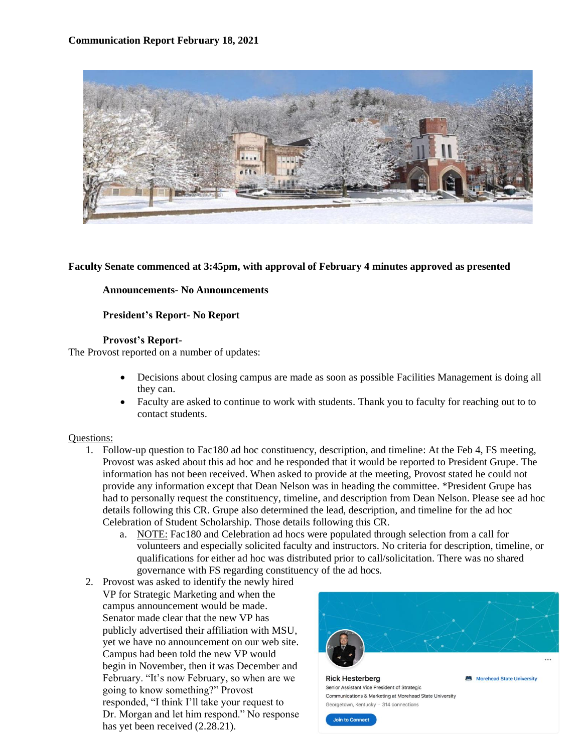

#### **Faculty Senate commenced at 3:45pm, with approval of February 4 minutes approved as presented**

#### **Announcements- No Announcements**

#### **President's Report- No Report**

#### **Provost's Report-**

The Provost reported on a number of updates:

- Decisions about closing campus are made as soon as possible Facilities Management is doing all they can.
- Faculty are asked to continue to work with students. Thank you to faculty for reaching out to to contact students.

#### Questions:

- 1. Follow-up question to Fac180 ad hoc constituency, description, and timeline: At the Feb 4, FS meeting, Provost was asked about this ad hoc and he responded that it would be reported to President Grupe. The information has not been received. When asked to provide at the meeting, Provost stated he could not provide any information except that Dean Nelson was in heading the committee. \*President Grupe has had to personally request the constituency, timeline, and description from Dean Nelson. Please see ad hoc details following this CR. Grupe also determined the lead, description, and timeline for the ad hoc Celebration of Student Scholarship. Those details following this CR.
	- a. NOTE: Fac180 and Celebration ad hocs were populated through selection from a call for volunteers and especially solicited faculty and instructors. No criteria for description, timeline, or qualifications for either ad hoc was distributed prior to call/solicitation. There was no shared governance with FS regarding constituency of the ad hocs.
- 2. Provost was asked to identify the newly hired VP for Strategic Marketing and when the campus announcement would be made. Senator made clear that the new VP has publicly advertised their affiliation with MSU, yet we have no announcement on our web site. Campus had been told the new VP would begin in November, then it was December and February. "It's now February, so when are we going to know something?" Provost responded, "I think I'll take your request to Dr. Morgan and let him respond." No response has yet been received (2.28.21).

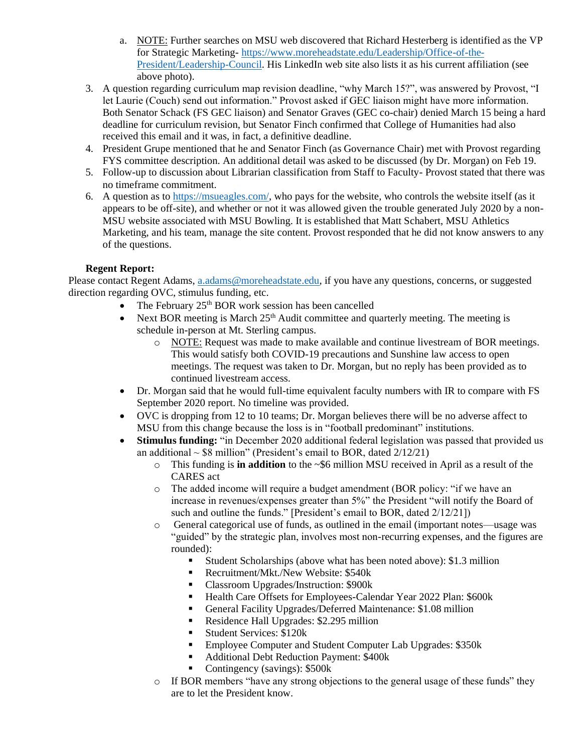- a. NOTE: Further searches on MSU web discovered that Richard Hesterberg is identified as the VP for Strategic Marketing- [https://www.moreheadstate.edu/Leadership/Office-of-the-](https://www.moreheadstate.edu/Leadership/Office-of-the-President/Leadership-Council)[President/Leadership-Council.](https://www.moreheadstate.edu/Leadership/Office-of-the-President/Leadership-Council) His LinkedIn web site also lists it as his current affiliation (see above photo).
- 3. A question regarding curriculum map revision deadline, "why March 15?", was answered by Provost, "I let Laurie (Couch) send out information." Provost asked if GEC liaison might have more information. Both Senator Schack (FS GEC liaison) and Senator Graves (GEC co-chair) denied March 15 being a hard deadline for curriculum revision, but Senator Finch confirmed that College of Humanities had also received this email and it was, in fact, a definitive deadline.
- 4. President Grupe mentioned that he and Senator Finch (as Governance Chair) met with Provost regarding FYS committee description. An additional detail was asked to be discussed (by Dr. Morgan) on Feb 19.
- 5. Follow-up to discussion about Librarian classification from Staff to Faculty- Provost stated that there was no timeframe commitment.
- 6. A question as to [https://msueagles.com/,](https://msueagles.com/) who pays for the website, who controls the website itself (as it appears to be off-site), and whether or not it was allowed given the trouble generated July 2020 by a non-MSU website associated with MSU Bowling. It is established that Matt Schabert, MSU Athletics Marketing, and his team, manage the site content. Provost responded that he did not know answers to any of the questions.

# **Regent Report:**

Please contact Regent Adams, [a.adams@moreheadstate.edu,](mailto:a.adams@moreheadstate.edu) if you have any questions, concerns, or suggested direction regarding OVC, stimulus funding, etc.

- The February  $25<sup>th</sup> BOR$  work session has been cancelled
- Next BOR meeting is March  $25<sup>th</sup>$  Audit committee and quarterly meeting. The meeting is schedule in-person at Mt. Sterling campus.
	- o NOTE: Request was made to make available and continue livestream of BOR meetings. This would satisfy both COVID-19 precautions and Sunshine law access to open meetings. The request was taken to Dr. Morgan, but no reply has been provided as to continued livestream access.
- Dr. Morgan said that he would full-time equivalent faculty numbers with IR to compare with FS September 2020 report. No timeline was provided.
- OVC is dropping from 12 to 10 teams; Dr. Morgan believes there will be no adverse affect to MSU from this change because the loss is in "football predominant" institutions.
- **Stimulus funding:** "in December 2020 additional federal legislation was passed that provided us an additional  $\sim$  \$8 million" (President's email to BOR, dated  $2/12/21$ )
	- o This funding is **in addition** to the ~\$6 million MSU received in April as a result of the CARES act
	- o The added income will require a budget amendment (BOR policy: "if we have an increase in revenues/expenses greater than 5%" the President "will notify the Board of such and outline the funds." [President's email to BOR, dated 2/12/21])
	- o General categorical use of funds, as outlined in the email (important notes—usage was "guided" by the strategic plan, involves most non-recurring expenses, and the figures are rounded):
		- Student Scholarships (above what has been noted above): \$1.3 million
		- Recruitment/Mkt./New Website: \$540k
		- Classroom Upgrades/Instruction: \$900k
		- Health Care Offsets for Employees-Calendar Year 2022 Plan: \$600k
		- General Facility Upgrades/Deferred Maintenance: \$1.08 million
		- Residence Hall Upgrades: \$2.295 million
		- **Exercices: \$120k**
		- Employee Computer and Student Computer Lab Upgrades: \$350k
		- Additional Debt Reduction Payment: \$400k
		- Contingency (savings): \$500k
	- $\circ$  If BOR members "have any strong objections to the general usage of these funds" they are to let the President know.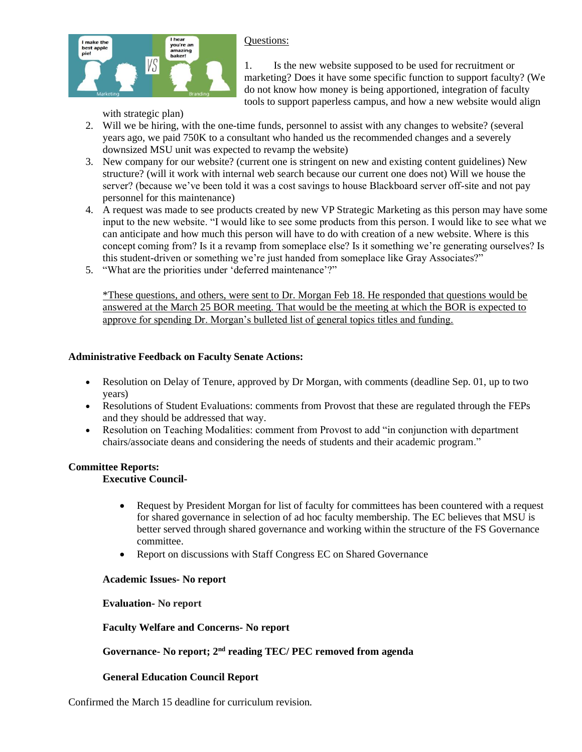### Questions:



1. Is the new website supposed to be used for recruitment or marketing? Does it have some specific function to support faculty? (We do not know how money is being apportioned, integration of faculty tools to support paperless campus, and how a new website would align

with strategic plan)

- 2. Will we be hiring, with the one-time funds, personnel to assist with any changes to website? (several years ago, we paid 750K to a consultant who handed us the recommended changes and a severely downsized MSU unit was expected to revamp the website)
- 3. New company for our website? (current one is stringent on new and existing content guidelines) New structure? (will it work with internal web search because our current one does not) Will we house the server? (because we've been told it was a cost savings to house Blackboard server off-site and not pay personnel for this maintenance)
- 4. A request was made to see products created by new VP Strategic Marketing as this person may have some input to the new website. "I would like to see some products from this person. I would like to see what we can anticipate and how much this person will have to do with creation of a new website. Where is this concept coming from? Is it a revamp from someplace else? Is it something we're generating ourselves? Is this student-driven or something we're just handed from someplace like Gray Associates?"
- 5. "What are the priorities under 'deferred maintenance'?"

\*These questions, and others, were sent to Dr. Morgan Feb 18. He responded that questions would be answered at the March 25 BOR meeting. That would be the meeting at which the BOR is expected to approve for spending Dr. Morgan's bulleted list of general topics titles and funding.

# **Administrative Feedback on Faculty Senate Actions:**

- Resolution on Delay of Tenure, approved by Dr Morgan, with comments (deadline Sep. 01, up to two years)
- Resolutions of Student Evaluations: comments from Provost that these are regulated through the FEPs and they should be addressed that way.
- Resolution on Teaching Modalities: comment from Provost to add "in conjunction with department chairs/associate deans and considering the needs of students and their academic program."

# **Committee Reports:**

# **Executive Council-**

- Request by President Morgan for list of faculty for committees has been countered with a request for shared governance in selection of ad hoc faculty membership. The EC believes that MSU is better served through shared governance and working within the structure of the FS Governance committee.
- Report on discussions with Staff Congress EC on Shared Governance

# **Academic Issues- No report**

# **Evaluation- No report**

# **Faculty Welfare and Concerns- No report**

# **Governance- No report; 2nd reading TEC/ PEC removed from agenda**

# **General Education Council Report**

Confirmed the March 15 deadline for curriculum revision.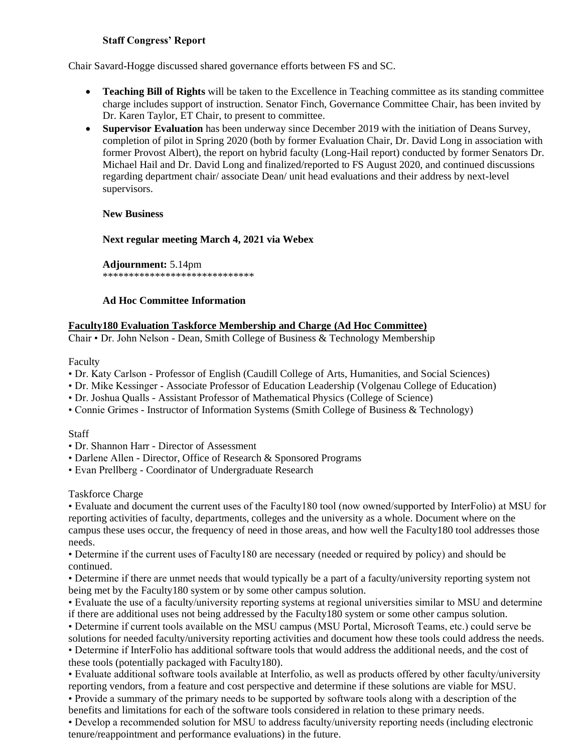### **Staff Congress' Report**

Chair Savard-Hogge discussed shared governance efforts between FS and SC.

- **Teaching Bill of Rights** will be taken to the Excellence in Teaching committee as its standing committee charge includes support of instruction. Senator Finch, Governance Committee Chair, has been invited by Dr. Karen Taylor, ET Chair, to present to committee.
- **Supervisor Evaluation** has been underway since December 2019 with the initiation of Deans Survey, completion of pilot in Spring 2020 (both by former Evaluation Chair, Dr. David Long in association with former Provost Albert), the report on hybrid faculty (Long-Hail report) conducted by former Senators Dr. Michael Hail and Dr. David Long and finalized/reported to FS August 2020, and continued discussions regarding department chair/ associate Dean/ unit head evaluations and their address by next-level supervisors.

**New Business** 

**Next regular meeting March 4, 2021 via Webex**

**Adjournment:** 5.14pm \*\*\*\*\*\*\*\*\*\*\*\*\*\*\*\*\*\*\*\*\*\*\*\*\*\*\*\*\*

### **Ad Hoc Committee Information**

### **Faculty180 Evaluation Taskforce Membership and Charge (Ad Hoc Committee)**

Chair • Dr. John Nelson - Dean, Smith College of Business & Technology Membership

Faculty

- Dr. Katy Carlson Professor of English (Caudill College of Arts, Humanities, and Social Sciences)
- Dr. Mike Kessinger Associate Professor of Education Leadership (Volgenau College of Education)
- Dr. Joshua Qualls Assistant Professor of Mathematical Physics (College of Science)
- Connie Grimes Instructor of Information Systems (Smith College of Business & Technology)

#### Staff

- Dr. Shannon Harr Director of Assessment
- Darlene Allen Director, Office of Research & Sponsored Programs
- Evan Prellberg Coordinator of Undergraduate Research

Taskforce Charge

• Evaluate and document the current uses of the Faculty180 tool (now owned/supported by InterFolio) at MSU for reporting activities of faculty, departments, colleges and the university as a whole. Document where on the campus these uses occur, the frequency of need in those areas, and how well the Faculty180 tool addresses those needs.

• Determine if the current uses of Faculty180 are necessary (needed or required by policy) and should be continued.

• Determine if there are unmet needs that would typically be a part of a faculty/university reporting system not being met by the Faculty180 system or by some other campus solution.

• Evaluate the use of a faculty/university reporting systems at regional universities similar to MSU and determine if there are additional uses not being addressed by the Faculty180 system or some other campus solution.

• Determine if current tools available on the MSU campus (MSU Portal, Microsoft Teams, etc.) could serve be solutions for needed faculty/university reporting activities and document how these tools could address the needs.

• Determine if InterFolio has additional software tools that would address the additional needs, and the cost of these tools (potentially packaged with Faculty180).

• Evaluate additional software tools available at Interfolio, as well as products offered by other faculty/university reporting vendors, from a feature and cost perspective and determine if these solutions are viable for MSU.

• Provide a summary of the primary needs to be supported by software tools along with a description of the benefits and limitations for each of the software tools considered in relation to these primary needs.

• Develop a recommended solution for MSU to address faculty/university reporting needs (including electronic tenure/reappointment and performance evaluations) in the future.